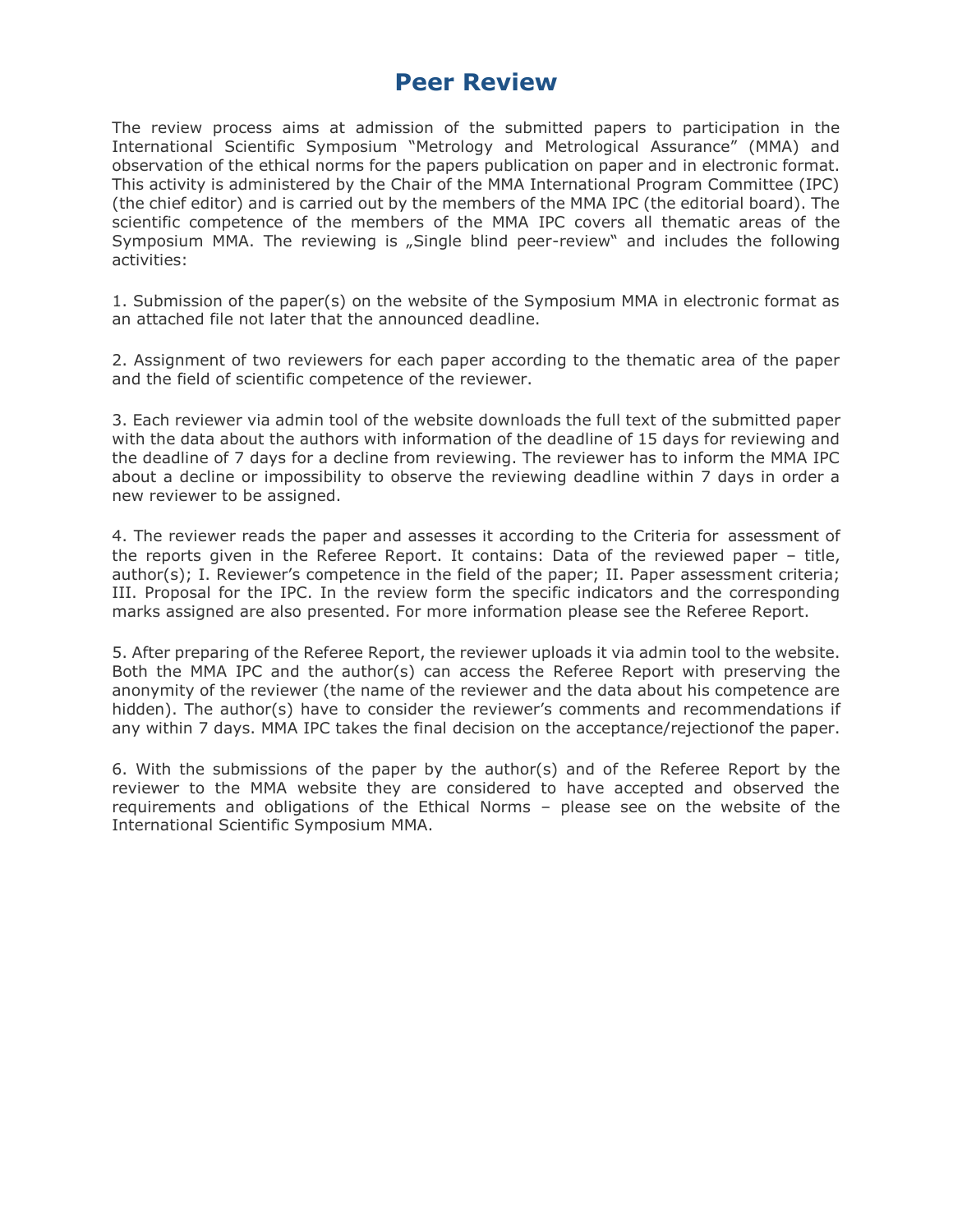# **Peer Review**

The review process aims at admission of the submitted papers to participation in the International Scientific Symposium "Metrology and Metrological Assurance" (MMA) and observation of the ethical norms for the papers publication on paper and in electronic format. This activity is administered by the Chair of the MMA International Program Committee (IPC) (the chief editor) and is carried out by the members of the MMA IPC (the editorial board). The scientific competence of the members of the MMA IPC covers all thematic areas of the Symposium MMA. The reviewing is "Single blind peer-review" and includes the following activities:

1. Submission of the paper(s) on the website of the Symposium MMA in electronic format as an attached file not later that the announced deadline.

2. Assignment of two reviewers for each paper according to the thematic area of the paper and the field of scientific competence of the reviewer.

3. Each reviewer via admin tool of the website downloads the full text of the submitted paper with the data about the authors with information of the deadline of 15 days for reviewing and the deadline of 7 days for a decline from reviewing. The reviewer has to inform the MMA IPC about a decline or impossibility to observe the reviewing deadline within 7 days in order a new reviewer to be assigned.

4. The reviewer reads the paper and assesses it according to the Criteria for assessment of the reports given in the Referee Report. It contains: Data of the reviewed paper – title, author(s); I. Reviewer's competence in the field of the paper; II. Paper assessment criteria; III. Proposal for the IPC. In the review form the specific indicators and the corresponding marks assigned are also presented. For more information please see the Referee Report.

5. After preparing of the Referee Report, the reviewer uploads it via admin tool to the website. Both the MMA IPC and the author(s) can access the Referee Report with preserving the anonymity of the reviewer (the name of the reviewer and the data about his competence are hidden). The author(s) have to consider the reviewer's comments and recommendations if any within 7 days. MMA IPC takes the final decision on the acceptance/rejectionof the paper.

6. With the submissions of the paper by the author(s) and of the Referee Report by the reviewer to the MMA website they are considered to have accepted and observed the requirements and obligations of the Ethical Norms – please see on the website of the International Scientific Symposium MMA.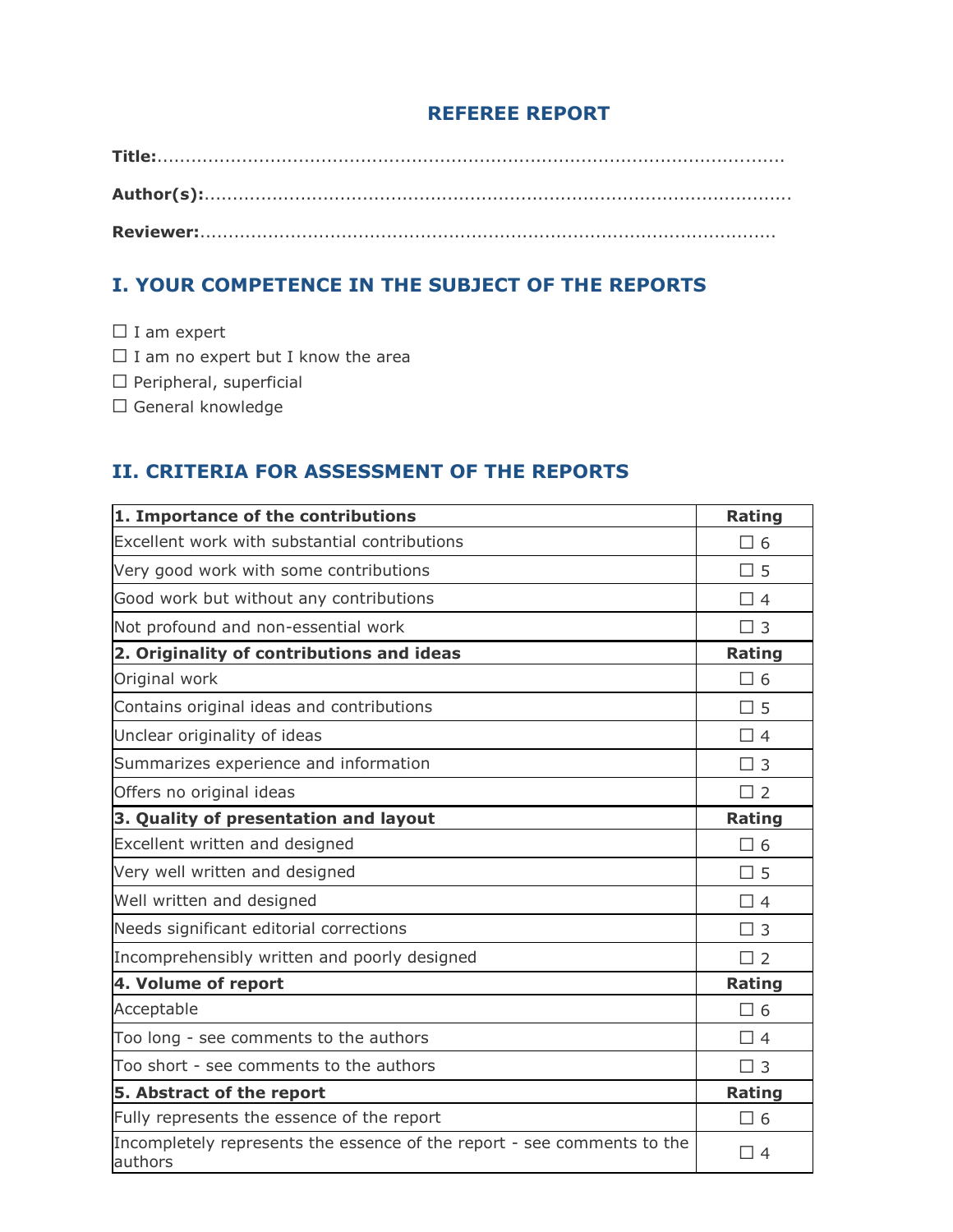#### **REFEREE REPORT**

**Title:**............................................................................................................... **Author(s):**........................................................................................................ **Reviewer:**......................................................................................................

## **I. YOUR COMPETENCE IN THE SUBJECT OF THE REPORTS**

□ I am expert

 $\Box$  I am no expert but I know the area

⬜ Peripheral, superficial

⬜ General knowledge

### **II. CRITERIA FOR ASSESSMENT OF THE REPORTS**

| 1. Importance of the contributions                                                 | <b>Rating</b> |
|------------------------------------------------------------------------------------|---------------|
| Excellent work with substantial contributions                                      | $\Box$ 6      |
| Very good work with some contributions                                             | $\square$ 5   |
| Good work but without any contributions                                            | $\Box$ 4      |
| Not profound and non-essential work                                                | $\Box$ 3      |
| 2. Originality of contributions and ideas                                          | <b>Rating</b> |
| Original work                                                                      | $\Box$ 6      |
| Contains original ideas and contributions                                          | $\square$ 5   |
| Unclear originality of ideas                                                       | $\Box$ 4      |
| Summarizes experience and information                                              | $\Box$ 3      |
| Offers no original ideas                                                           | $\Box$ 2      |
| 3. Quality of presentation and layout                                              | <b>Rating</b> |
| Excellent written and designed                                                     | $\Box$ 6      |
| Very well written and designed                                                     | $\Box$ 5      |
| Well written and designed                                                          | $\Box$ 4      |
| Needs significant editorial corrections                                            | $\Box$ 3      |
| Incomprehensibly written and poorly designed                                       | $\Box$ 2      |
| 4. Volume of report                                                                | <b>Rating</b> |
| Acceptable                                                                         | $\Box$ 6      |
| Too long - see comments to the authors                                             | $\Box$ 4      |
| Too short - see comments to the authors                                            | $\Box$ 3      |
| 5. Abstract of the report                                                          | Rating        |
| Fully represents the essence of the report                                         | $\Box$ 6      |
| Incompletely represents the essence of the report - see comments to the<br>authors | $\Box$ 4      |